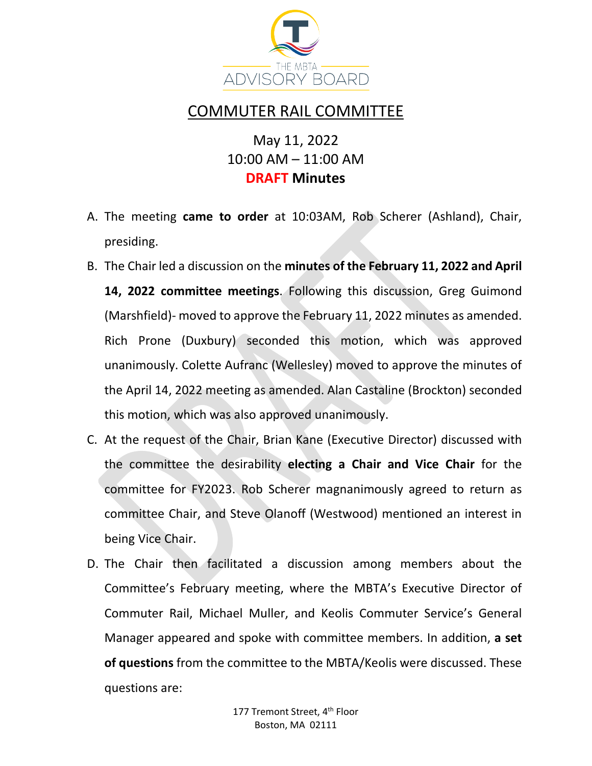

## COMMUTER RAIL COMMITTEE

## May 11, 2022 10:00 AM – 11:00 AM **DRAFT Minutes**

- A. The meeting **came to order** at 10:03AM, Rob Scherer (Ashland), Chair, presiding.
- B. The Chair led a discussion on the **minutes of the February 11, 2022 and April 14, 2022 committee meetings**. Following this discussion, Greg Guimond (Marshfield)- moved to approve the February 11, 2022 minutes as amended. Rich Prone (Duxbury) seconded this motion, which was approved unanimously. Colette Aufranc (Wellesley) moved to approve the minutes of the April 14, 2022 meeting as amended. Alan Castaline (Brockton) seconded this motion, which was also approved unanimously.
- C. At the request of the Chair, Brian Kane (Executive Director) discussed with the committee the desirability **electing a Chair and Vice Chair** for the committee for FY2023. Rob Scherer magnanimously agreed to return as committee Chair, and Steve Olanoff (Westwood) mentioned an interest in being Vice Chair.
- D. The Chair then facilitated a discussion among members about the Committee's February meeting, where the MBTA's Executive Director of Commuter Rail, Michael Muller, and Keolis Commuter Service's General Manager appeared and spoke with committee members. In addition, **a set of questions** from the committee to the MBTA/Keolis were discussed. These questions are: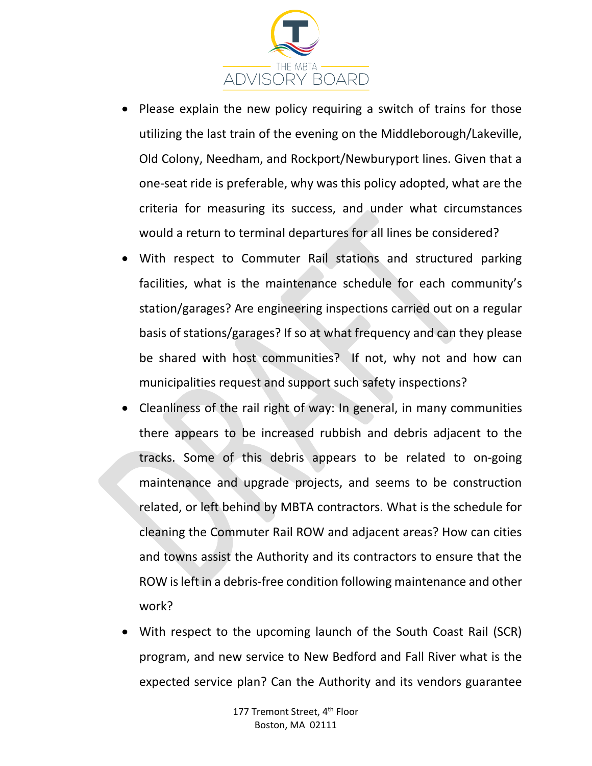

- Please explain the new policy requiring a switch of trains for those utilizing the last train of the evening on the Middleborough/Lakeville, Old Colony, Needham, and Rockport/Newburyport lines. Given that a one-seat ride is preferable, why was this policy adopted, what are the criteria for measuring its success, and under what circumstances would a return to terminal departures for all lines be considered?
- With respect to Commuter Rail stations and structured parking facilities, what is the maintenance schedule for each community's station/garages? Are engineering inspections carried out on a regular basis of stations/garages? If so at what frequency and can they please be shared with host communities? If not, why not and how can municipalities request and support such safety inspections?
- Cleanliness of the rail right of way: In general, in many communities there appears to be increased rubbish and debris adjacent to the tracks. Some of this debris appears to be related to on-going maintenance and upgrade projects, and seems to be construction related, or left behind by MBTA contractors. What is the schedule for cleaning the Commuter Rail ROW and adjacent areas? How can cities and towns assist the Authority and its contractors to ensure that the ROW is left in a debris-free condition following maintenance and other work?
- With respect to the upcoming launch of the South Coast Rail (SCR) program, and new service to New Bedford and Fall River what is the expected service plan? Can the Authority and its vendors guarantee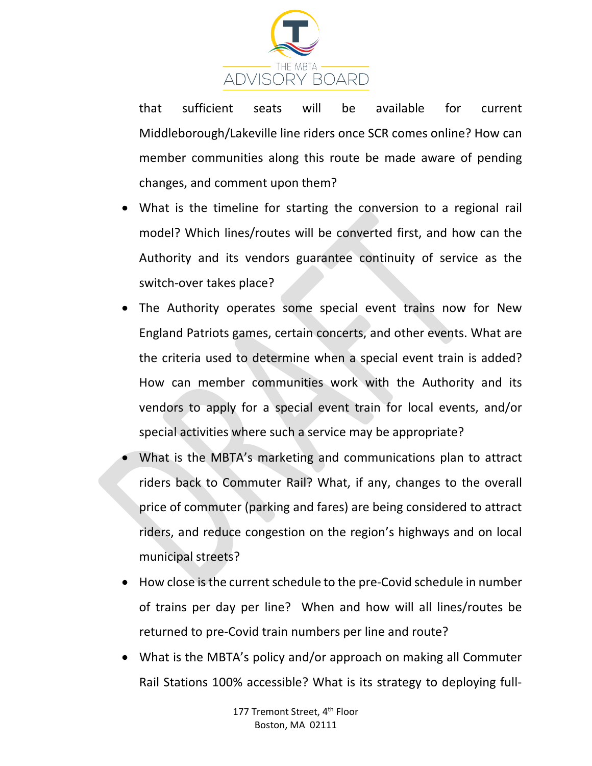

that sufficient seats will be available for current Middleborough/Lakeville line riders once SCR comes online? How can member communities along this route be made aware of pending changes, and comment upon them?

- What is the timeline for starting the conversion to a regional rail model? Which lines/routes will be converted first, and how can the Authority and its vendors guarantee continuity of service as the switch-over takes place?
- The Authority operates some special event trains now for New England Patriots games, certain concerts, and other events. What are the criteria used to determine when a special event train is added? How can member communities work with the Authority and its vendors to apply for a special event train for local events, and/or special activities where such a service may be appropriate?
- What is the MBTA's marketing and communications plan to attract riders back to Commuter Rail? What, if any, changes to the overall price of commuter (parking and fares) are being considered to attract riders, and reduce congestion on the region's highways and on local municipal streets?
- How close is the current schedule to the pre-Covid schedule in number of trains per day per line? When and how will all lines/routes be returned to pre-Covid train numbers per line and route?
- What is the MBTA's policy and/or approach on making all Commuter Rail Stations 100% accessible? What is its strategy to deploying full-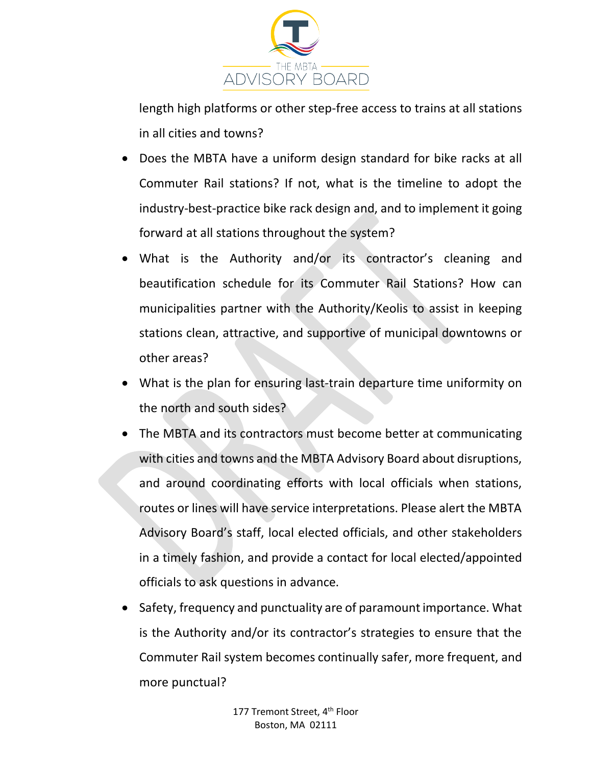

length high platforms or other step-free access to trains at all stations in all cities and towns?

- Does the MBTA have a uniform design standard for bike racks at all Commuter Rail stations? If not, what is the timeline to adopt the industry-best-practice bike rack design and, and to implement it going forward at all stations throughout the system?
- What is the Authority and/or its contractor's cleaning and beautification schedule for its Commuter Rail Stations? How can municipalities partner with the Authority/Keolis to assist in keeping stations clean, attractive, and supportive of municipal downtowns or other areas?
- What is the plan for ensuring last-train departure time uniformity on the north and south sides?
- The MBTA and its contractors must become better at communicating with cities and towns and the MBTA Advisory Board about disruptions, and around coordinating efforts with local officials when stations, routes or lines will have service interpretations. Please alert the MBTA Advisory Board's staff, local elected officials, and other stakeholders in a timely fashion, and provide a contact for local elected/appointed officials to ask questions in advance.
- Safety, frequency and punctuality are of paramount importance. What is the Authority and/or its contractor's strategies to ensure that the Commuter Rail system becomes continually safer, more frequent, and more punctual?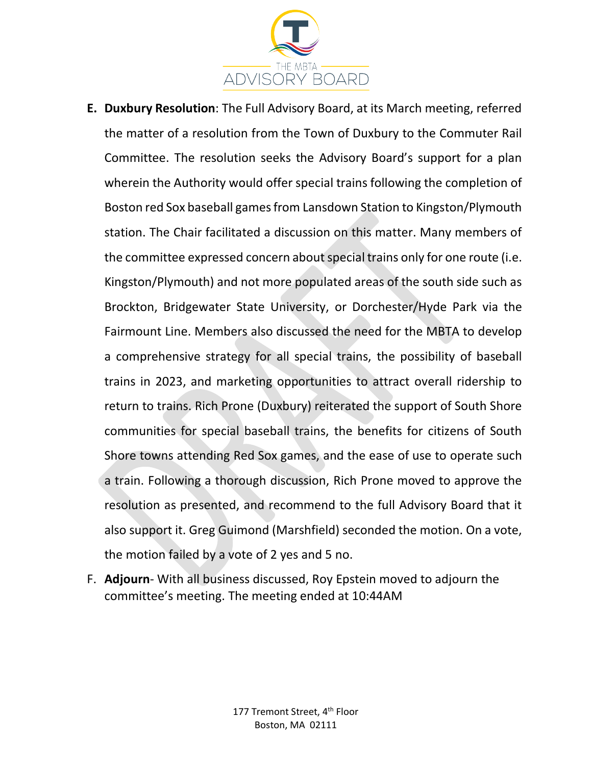

- **E. Duxbury Resolution**: The Full Advisory Board, at its March meeting, referred the matter of a resolution from the Town of Duxbury to the Commuter Rail Committee. The resolution seeks the Advisory Board's support for a plan wherein the Authority would offer special trains following the completion of Boston red Sox baseball games from Lansdown Station to Kingston/Plymouth station. The Chair facilitated a discussion on this matter. Many members of the committee expressed concern about special trains only for one route (i.e. Kingston/Plymouth) and not more populated areas of the south side such as Brockton, Bridgewater State University, or Dorchester/Hyde Park via the Fairmount Line. Members also discussed the need for the MBTA to develop a comprehensive strategy for all special trains, the possibility of baseball trains in 2023, and marketing opportunities to attract overall ridership to return to trains. Rich Prone (Duxbury) reiterated the support of South Shore communities for special baseball trains, the benefits for citizens of South Shore towns attending Red Sox games, and the ease of use to operate such a train. Following a thorough discussion, Rich Prone moved to approve the resolution as presented, and recommend to the full Advisory Board that it also support it. Greg Guimond (Marshfield) seconded the motion. On a vote, the motion failed by a vote of 2 yes and 5 no.
- F. **Adjourn** With all business discussed, Roy Epstein moved to adjourn the committee's meeting. The meeting ended at 10:44AM